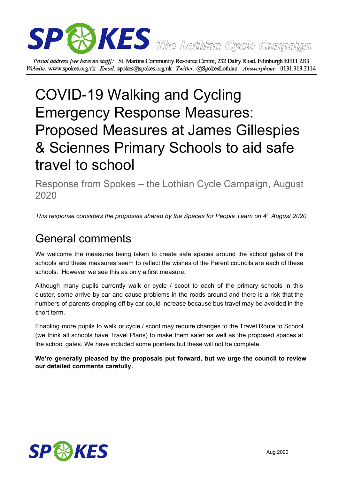

Postal address [we have no staff]: St. Martins Community Resource Centre, 232 Dalry Road, Edinburgh EH11 2JG Website: www.spokes.org.uk Email: spokes@spokes.org.uk Twitter: @SpokesLothian Answerphone: 0131.313.2114

# COVID-19 Walking and Cycling Emergency Response Measures: Proposed Measures at James Gillespies & Sciennes Primary Schools to aid safe travel to school

Response from Spokes – the Lothian Cycle Campaign, August 2020

*This response considers the proposals shared by the Spaces for People Team on 4 th August 2020*

## General comments

We welcome the measures being taken to create safe spaces around the school gates of the schools and these measures seem to reflect the wishes of the Parent councils are each of these schools. However we see this as only a first measure.

Although many pupils currently walk or cycle / scoot to each of the primary schools in this cluster, some arrive by car and cause problems in the roads around and there is a risk that the numbers of parents dropping off by car could increase because bus travel may be avoided in the short term.

Enabling more pupils to walk or cycle / scoot may require changes to the Travel Route to School (we think all schools have Travel Plans) to make them safer as well as the proposed spaces at the school gates. We have included some pointers but these will not be complete.

**We're generally pleased by the proposals put forward, but we urge the council to review our detailed comments carefully.**

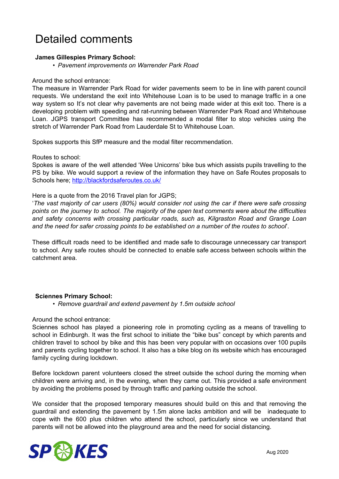### Detailed comments

#### **James Gillespies Primary School:**

*• Pavement improvements on Warrender Park Road*

#### Around the school entrance:

The measure in Warrender Park Road for wider pavements seem to be in line with parent council requests. We understand the exit into Whitehouse Loan is to be used to manage traffic in a one way system so It's not clear why pavements are not being made wider at this exit too. There is a developing problem with speeding and rat-running between Warrender Park Road and Whitehouse Loan. JGPS transport Committee has recommended a modal filter to stop vehicles using the stretch of Warrender Park Road from Lauderdale St to Whitehouse Loan.

Spokes supports this SfP measure and the modal filter recommendation.

Routes to school:

Spokes is aware of the well attended 'Wee Unicorns' bike bus which assists pupils travelling to the PS by bike. We would support a review of the information they have on Safe Routes proposals to Schools here; <http://blackfordsaferoutes.co.uk/>

Here is a quote from the 2016 Travel plan for JGPS;

'*The vast majority of car users (80%) would consider not using the car if there were safe crossing points on the journey to school. The majority of the open text comments were about the difficulties and safety concerns with crossing particular roads, such as, Kilgraston Road and Grange Loan and the need for safer crossing points to be established on a number of the routes to school*'.

These difficult roads need to be identified and made safe to discourage unnecessary car transport to school. Any safe routes should be connected to enable safe access between schools within the catchment area.

#### **Sciennes Primary School:**

*• Remove guardrail and extend pavement by 1.5m outside school*

Around the school entrance:

Sciennes school has played a pioneering role in promoting cycling as a means of travelling to school in Edinburgh. It was the first school to initiate the "bike bus" concept by which parents and children travel to school by bike and this has been very popular with on occasions over 100 pupils and parents cycling together to school. It also has a bike blog on its website which has encouraged family cycling during lockdown.

Before lockdown parent volunteers closed the street outside the school during the morning when children were arriving and, in the evening, when they came out. This provided a safe environment by avoiding the problems posed by through traffic and parking outside the school.

We consider that the proposed temporary measures should build on this and that removing the guardrail and extending the pavement by 1.5m alone lacks ambition and will be inadequate to cope with the 600 plus children who attend the school, particularly since we understand that parents will not be allowed into the playground area and the need for social distancing.